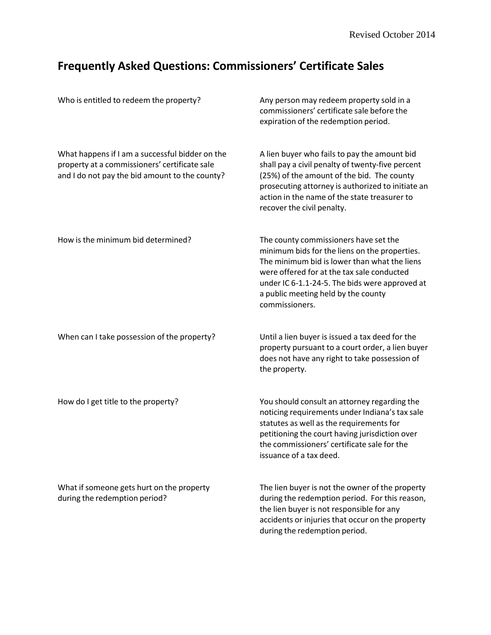## **Frequently Asked Questions: Commissioners' Certificate Sales**

| Who is entitled to redeem the property?                                                                                                            | Any person may redeem property sold in a<br>commissioners' certificate sale before the<br>expiration of the redemption period.                                                                                                                                                                  |
|----------------------------------------------------------------------------------------------------------------------------------------------------|-------------------------------------------------------------------------------------------------------------------------------------------------------------------------------------------------------------------------------------------------------------------------------------------------|
| What happens if I am a successful bidder on the<br>property at a commissioners' certificate sale<br>and I do not pay the bid amount to the county? | A lien buyer who fails to pay the amount bid<br>shall pay a civil penalty of twenty-five percent<br>(25%) of the amount of the bid. The county<br>prosecuting attorney is authorized to initiate an<br>action in the name of the state treasurer to<br>recover the civil penalty.               |
| How is the minimum bid determined?                                                                                                                 | The county commissioners have set the<br>minimum bids for the liens on the properties.<br>The minimum bid is lower than what the liens<br>were offered for at the tax sale conducted<br>under IC 6-1.1-24-5. The bids were approved at<br>a public meeting held by the county<br>commissioners. |
| When can I take possession of the property?                                                                                                        | Until a lien buyer is issued a tax deed for the<br>property pursuant to a court order, a lien buyer<br>does not have any right to take possession of<br>the property.                                                                                                                           |
| How do I get title to the property?                                                                                                                | You should consult an attorney regarding the<br>noticing requirements under Indiana's tax sale<br>statutes as well as the requirements for<br>petitioning the court having jurisdiction over<br>the commissioners' certificate sale for the<br>issuance of a tax deed.                          |
| What if someone gets hurt on the property<br>during the redemption period?                                                                         | The lien buyer is not the owner of the property<br>during the redemption period. For this reason,<br>the lien buyer is not responsible for any<br>accidents or injuries that occur on the property<br>during the redemption period.                                                             |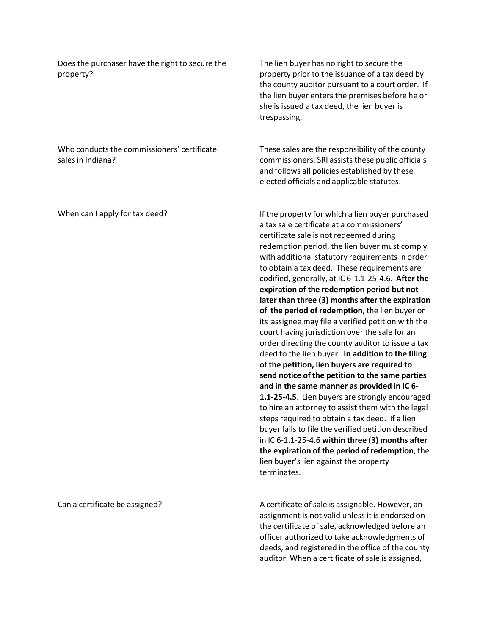Does the purchaser have the right to secure the property?

Who conducts the commissioners' certificate

The lien buyer has no right to secure the property prior to the issuance of a tax deed by the county auditor pursuant to a court order. If the lien buyer enters the premises before he or she is issued a tax deed, the lien buyer is trespassing.

These sales are the responsibility of the county commissioners. SRI assists these public officials and follows all policies established by these elected officials and applicable statutes.

If the property for which a lien buyer purchased a tax sale certificate at a commissioners' certificate sale is not redeemed during redemption period, the lien buyer must comply with additional statutory requirements in order to obtain a tax deed. These requirements are codified, generally, at IC 6‐1.1‐25‐4.6. **After the expiration of the redemption period but not later than three (3) months after the expiration of the period of redemption**, the lien buyer or its assignee may file a verified petition with the court having jurisdiction over the sale for an order directing the county auditor to issue a tax deed to the lien buyer. **In addition to the filing of the petition, lien buyers are required to send notice of the petition to the same parties and in the same manner as provided in IC 6‐ 1.1‐25‐4.5**. Lien buyers are strongly encouraged to hire an attorney to assist them with the legal steps required to obtain a tax deed. If a lien buyer fails to file the verified petition described in IC 6‐1.1‐25‐4.6 **within three (3) months after the expiration of the period of redemption**, the lien buyer's lien against the property terminates.

A certificate of sale is assignable. However, an assignment is not valid unless it is endorsed on the certificate of sale, acknowledged before an officer authorized to take acknowledgments of deeds, and registered in the office of the county auditor. When a certificate of sale is assigned,

When can I apply for tax deed?

sales in Indiana?

Can a certificate be assigned?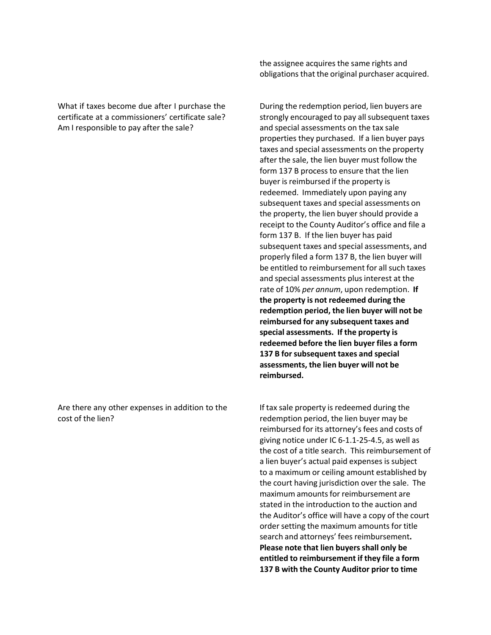What if taxes become due after I purchase the certificate at a commissioners' certificate sale? Am I responsible to pay after the sale?

Are there any other expenses in addition to the cost of the lien?

the assignee acquires the same rights and obligations that the original purchaser acquired.

During the redemption period, lien buyers are strongly encouraged to pay all subsequent taxes and special assessments on the tax sale properties they purchased. If a lien buyer pays taxes and special assessments on the property after the sale, the lien buyer must follow the form 137 B process to ensure that the lien buyer is reimbursed if the property is redeemed. Immediately upon paying any subsequent taxes and special assessments on the property, the lien buyer should provide a receipt to the County Auditor's office and file a form 137 B. If the lien buyer has paid subsequent taxes and special assessments, and properly filed a form 137 B, the lien buyer will be entitled to reimbursement for all such taxes and special assessments plus interest at the rate of 10% *per annum*, upon redemption. **If the property is not redeemed during the redemption period, the lien buyer will not be reimbursed for any subsequent taxes and special assessments. If the property is redeemed before the lien buyer files a form 137 B forsubsequent taxes and special assessments, the lien buyer will not be reimbursed.**

If tax sale property is redeemed during the redemption period, the lien buyer may be reimbursed for its attorney's fees and costs of giving notice under IC 6‐1.1‐25‐4.5, as well as the cost of a title search. This reimbursement of a lien buyer's actual paid expenses is subject to a maximum or ceiling amount established by the court having jurisdiction over the sale. The maximum amounts for reimbursement are stated in the introduction to the auction and the Auditor's office will have a copy of the court order setting the maximum amounts for title search and attorneys' fees reimbursement. **Please note that lien buyersshall only be entitled to reimbursement if they file a form 137 B with the County Auditor prior to time**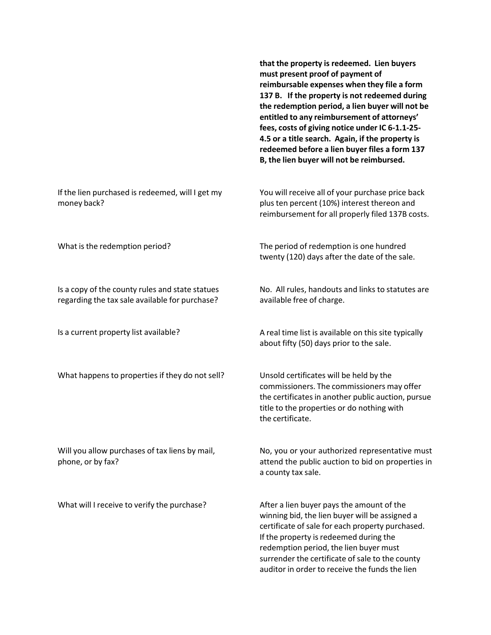|                                                                                                   | that the property is redeemed. Lien buyers<br>must present proof of payment of<br>reimbursable expenses when they file a form<br>137 B. If the property is not redeemed during<br>the redemption period, a lien buyer will not be<br>entitled to any reimbursement of attorneys'<br>fees, costs of giving notice under IC 6-1.1-25-<br>4.5 or a title search. Again, if the property is<br>redeemed before a lien buyer files a form 137<br>B, the lien buyer will not be reimbursed. |
|---------------------------------------------------------------------------------------------------|---------------------------------------------------------------------------------------------------------------------------------------------------------------------------------------------------------------------------------------------------------------------------------------------------------------------------------------------------------------------------------------------------------------------------------------------------------------------------------------|
| If the lien purchased is redeemed, will I get my<br>money back?                                   | You will receive all of your purchase price back<br>plus ten percent (10%) interest thereon and<br>reimbursement for all properly filed 137B costs.                                                                                                                                                                                                                                                                                                                                   |
| What is the redemption period?                                                                    | The period of redemption is one hundred<br>twenty (120) days after the date of the sale.                                                                                                                                                                                                                                                                                                                                                                                              |
| Is a copy of the county rules and state statues<br>regarding the tax sale available for purchase? | No. All rules, handouts and links to statutes are<br>available free of charge.                                                                                                                                                                                                                                                                                                                                                                                                        |
| Is a current property list available?                                                             | A real time list is available on this site typically<br>about fifty (50) days prior to the sale.                                                                                                                                                                                                                                                                                                                                                                                      |
| What happens to properties if they do not sell?                                                   | Unsold certificates will be held by the<br>commissioners. The commissioners may offer<br>the certificates in another public auction, pursue<br>title to the properties or do nothing with<br>the certificate.                                                                                                                                                                                                                                                                         |
| Will you allow purchases of tax liens by mail,<br>phone, or by fax?                               | No, you or your authorized representative must<br>attend the public auction to bid on properties in<br>a county tax sale.                                                                                                                                                                                                                                                                                                                                                             |
| What will I receive to verify the purchase?                                                       | After a lien buyer pays the amount of the<br>winning bid, the lien buyer will be assigned a<br>certificate of sale for each property purchased.<br>If the property is redeemed during the                                                                                                                                                                                                                                                                                             |

redemption period, the lien buyer must surrender the certificate of sale to the county auditor in order to receive the funds the lien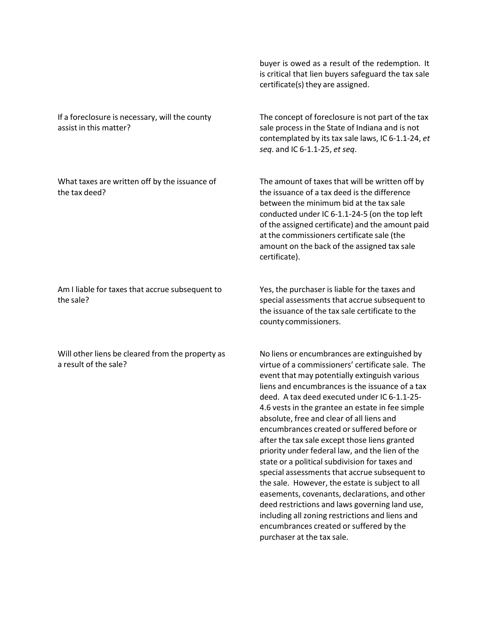If a foreclosure is necessary, will the county assist in this matter?

What taxes are written off by the issuance of the tax deed?

Am I liable for taxes that accrue subsequent to the sale?

Will other liens be cleared from the property as a result of the sale?

buyer is owed as a result of the redemption. It is critical that lien buyers safeguard the tax sale certificate(s) they are assigned.

The concept of foreclosure is not part of the tax sale process in the State of Indiana and is not contemplated by its tax sale laws, IC 6‐1.1‐24, *et seq*. and IC 6‐1.1‐25, *et seq*.

The amount of taxes that will be written off by the issuance of a tax deed is the difference between the minimum bid at the tax sale conducted under IC 6‐1.1‐24‐5 (on the top left of the assigned certificate) and the amount paid at the commissioners certificate sale (the amount on the back of the assigned tax sale certificate).

Yes, the purchaser is liable for the taxes and special assessments that accrue subsequent to the issuance of the tax sale certificate to the county commissioners.

No liens or encumbrances are extinguished by virtue of a commissioners' certificate sale. The event that may potentially extinguish various liens and encumbrances is the issuance of a tax deed. A tax deed executed under IC 6‐1.1‐25‐ 4.6 vests in the grantee an estate in fee simple absolute, free and clear of all liens and encumbrances created or suffered before or after the tax sale except those liens granted priority under federal law, and the lien of the state or a political subdivision for taxes and special assessments that accrue subsequent to the sale. However, the estate is subject to all easements, covenants, declarations, and other deed restrictions and laws governing land use, including all zoning restrictions and liens and encumbrances created or suffered by the purchaser at the tax sale.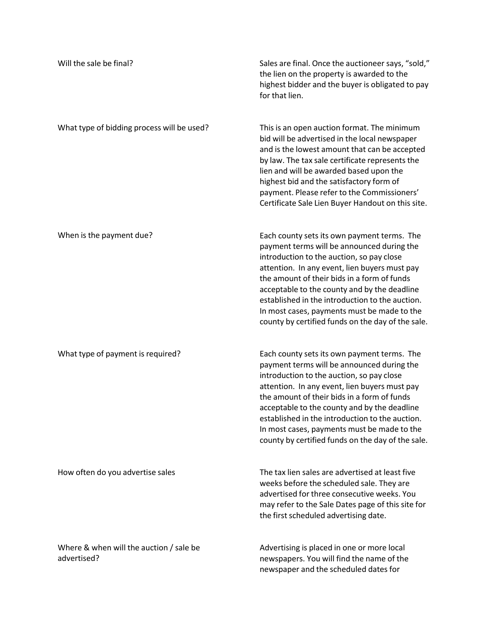| Will the sale be final?                                | Sales are final. Once the auctioneer says, "sold,"<br>the lien on the property is awarded to the<br>highest bidder and the buyer is obligated to pay<br>for that lien.                                                                                                                                                                                                                                                                        |
|--------------------------------------------------------|-----------------------------------------------------------------------------------------------------------------------------------------------------------------------------------------------------------------------------------------------------------------------------------------------------------------------------------------------------------------------------------------------------------------------------------------------|
| What type of bidding process will be used?             | This is an open auction format. The minimum<br>bid will be advertised in the local newspaper<br>and is the lowest amount that can be accepted<br>by law. The tax sale certificate represents the<br>lien and will be awarded based upon the<br>highest bid and the satisfactory form of<br>payment. Please refer to the Commissioners'<br>Certificate Sale Lien Buyer Handout on this site.                                                   |
| When is the payment due?                               | Each county sets its own payment terms. The<br>payment terms will be announced during the<br>introduction to the auction, so pay close<br>attention. In any event, lien buyers must pay<br>the amount of their bids in a form of funds<br>acceptable to the county and by the deadline<br>established in the introduction to the auction.<br>In most cases, payments must be made to the<br>county by certified funds on the day of the sale. |
| What type of payment is required?                      | Each county sets its own payment terms. The<br>payment terms will be announced during the<br>introduction to the auction, so pay close<br>attention. In any event, lien buyers must pay<br>the amount of their bids in a form of funds<br>acceptable to the county and by the deadline<br>established in the introduction to the auction.<br>In most cases, payments must be made to the<br>county by certified funds on the day of the sale. |
| How often do you advertise sales                       | The tax lien sales are advertised at least five<br>weeks before the scheduled sale. They are<br>advertised for three consecutive weeks. You<br>may refer to the Sale Dates page of this site for<br>the first scheduled advertising date.                                                                                                                                                                                                     |
| Where & when will the auction / sale be<br>advertised? | Advertising is placed in one or more local<br>newspapers. You will find the name of the<br>newspaper and the scheduled dates for                                                                                                                                                                                                                                                                                                              |